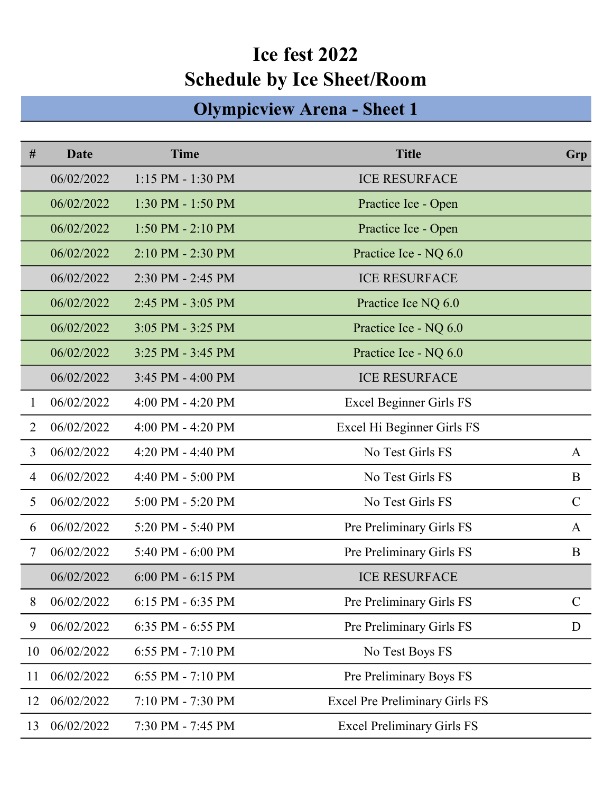## Ice fest 2022 Schedule by Ice Sheet/Room

## Olympicview Arena - Sheet 1

| #              | Date       | <b>Time</b>           | <b>Title</b>                          | Grp           |
|----------------|------------|-----------------------|---------------------------------------|---------------|
|                | 06/02/2022 | $1:15$ PM - $1:30$ PM | <b>ICE RESURFACE</b>                  |               |
|                | 06/02/2022 | 1:30 PM - 1:50 PM     | Practice Ice - Open                   |               |
|                | 06/02/2022 | $1:50$ PM - $2:10$ PM | Practice Ice - Open                   |               |
|                | 06/02/2022 | 2:10 PM - 2:30 PM     | Practice Ice - NQ 6.0                 |               |
|                | 06/02/2022 | 2:30 PM - 2:45 PM     | <b>ICE RESURFACE</b>                  |               |
|                | 06/02/2022 | 2:45 PM - 3:05 PM     | Practice Ice NQ 6.0                   |               |
|                | 06/02/2022 | $3:05$ PM - $3:25$ PM | Practice Ice - NQ 6.0                 |               |
|                | 06/02/2022 | $3:25$ PM - $3:45$ PM | Practice Ice - NQ 6.0                 |               |
|                | 06/02/2022 | 3:45 PM - 4:00 PM     | <b>ICE RESURFACE</b>                  |               |
| 1              | 06/02/2022 | $4:00$ PM - $4:20$ PM | Excel Beginner Girls FS               |               |
| $\overline{2}$ | 06/02/2022 | $4:00$ PM - $4:20$ PM | Excel Hi Beginner Girls FS            |               |
| 3              | 06/02/2022 | 4:20 PM - 4:40 PM     | No Test Girls FS                      | A             |
| $\overline{4}$ | 06/02/2022 | 4:40 PM - 5:00 PM     | No Test Girls FS                      | B             |
| 5              | 06/02/2022 | 5:00 PM - 5:20 PM     | No Test Girls FS                      | $\mathcal{C}$ |
| 6              | 06/02/2022 | 5:20 PM - 5:40 PM     | Pre Preliminary Girls FS              | A             |
| $\tau$         | 06/02/2022 | 5:40 PM - 6:00 PM     | Pre Preliminary Girls FS              | B             |
|                | 06/02/2022 | $6:00$ PM - $6:15$ PM | <b>ICE RESURFACE</b>                  |               |
| 8              | 06/02/2022 | $6:15$ PM $-6:35$ PM  | Pre Preliminary Girls FS              | $\mathbf C$   |
| 9              | 06/02/2022 | 6:35 PM - 6:55 PM     | Pre Preliminary Girls FS              | D             |
| 10             | 06/02/2022 | 6:55 PM - 7:10 PM     | No Test Boys FS                       |               |
| 11             | 06/02/2022 | $6:55$ PM - $7:10$ PM | Pre Preliminary Boys FS               |               |
| 12             | 06/02/2022 | 7:10 PM - 7:30 PM     | <b>Excel Pre Preliminary Girls FS</b> |               |
| 13             | 06/02/2022 | 7:30 PM - 7:45 PM     | <b>Excel Preliminary Girls FS</b>     |               |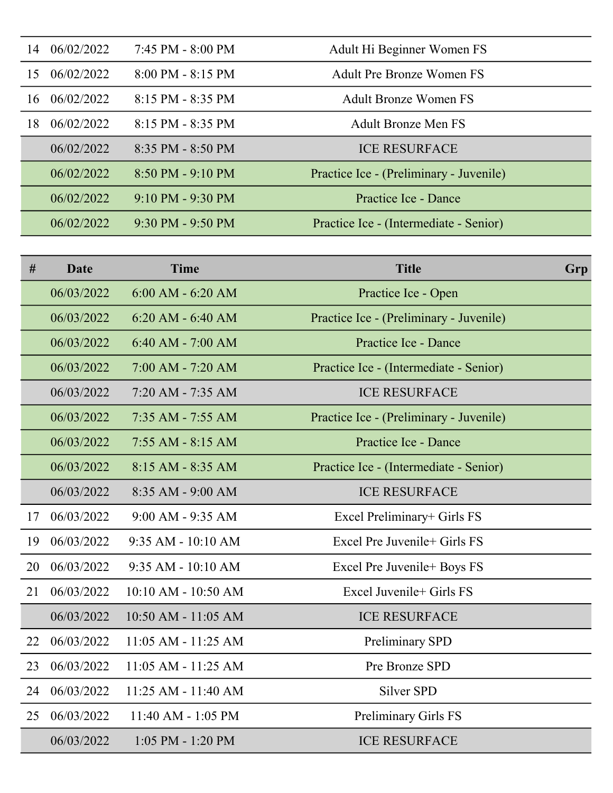| 14 | 06/02/2022 | 7:45 PM - 8:00 PM                   | Adult Hi Beginner Women FS              |
|----|------------|-------------------------------------|-----------------------------------------|
| 15 | 06/02/2022 | $8:00$ PM - $8:15$ PM               | <b>Adult Pre Bronze Women FS</b>        |
| 16 | 06/02/2022 | 8:15 PM - 8:35 PM                   | <b>Adult Bronze Women FS</b>            |
| 18 | 06/02/2022 | $8:15$ PM - $8:35$ PM               | <b>Adult Bronze Men FS</b>              |
|    | 06/02/2022 | $8:35$ PM - $8:50$ PM               | <b>ICE RESURFACE</b>                    |
|    | 06/02/2022 | $8:50$ PM - 9:10 PM                 | Practice Ice - (Preliminary - Juvenile) |
|    | 06/02/2022 | $9:10$ PM - $9:30$ PM               | Practice Ice - Dance                    |
|    | 06/02/2022 | $9:30 \text{ PM} - 9:50 \text{ PM}$ | Practice Ice - (Intermediate - Senior)  |

| #  | Date       | <b>Time</b>             | <b>Title</b>                            | Grp |
|----|------------|-------------------------|-----------------------------------------|-----|
|    | 06/03/2022 | $6:00$ AM - $6:20$ AM   | Practice Ice - Open                     |     |
|    | 06/03/2022 | $6:20$ AM - $6:40$ AM   | Practice Ice - (Preliminary - Juvenile) |     |
|    | 06/03/2022 | $6:40$ AM - $7:00$ AM   | Practice Ice - Dance                    |     |
|    | 06/03/2022 | $7:00$ AM - $7:20$ AM   | Practice Ice - (Intermediate - Senior)  |     |
|    | 06/03/2022 | 7:20 AM - 7:35 AM       | <b>ICE RESURFACE</b>                    |     |
|    | 06/03/2022 | $7:35$ AM - $7:55$ AM   | Practice Ice - (Preliminary - Juvenile) |     |
|    | 06/03/2022 | $7:55$ AM - 8:15 AM     | Practice Ice - Dance                    |     |
|    | 06/03/2022 | $8:15$ AM - $8:35$ AM   | Practice Ice - (Intermediate - Senior)  |     |
|    | 06/03/2022 | 8:35 AM - 9:00 AM       | <b>ICE RESURFACE</b>                    |     |
| 17 | 06/03/2022 | $9:00$ AM - $9:35$ AM   | Excel Preliminary+ Girls FS             |     |
| 19 | 06/03/2022 | $9:35$ AM - 10:10 AM    | Excel Pre Juvenile+ Girls FS            |     |
| 20 | 06/03/2022 | $9:35$ AM - $10:10$ AM  | Excel Pre Juvenile+ Boys FS             |     |
| 21 | 06/03/2022 | 10:10 AM - 10:50 AM     | Excel Juvenile+ Girls FS                |     |
|    | 06/03/2022 | 10:50 AM - 11:05 AM     | <b>ICE RESURFACE</b>                    |     |
| 22 | 06/03/2022 | $11:05$ AM - $11:25$ AM | Preliminary SPD                         |     |
| 23 | 06/03/2022 | $11:05$ AM - $11:25$ AM | Pre Bronze SPD                          |     |
| 24 | 06/03/2022 | 11:25 AM - 11:40 AM     | Silver SPD                              |     |
| 25 | 06/03/2022 | $11:40$ AM - 1:05 PM    | Preliminary Girls FS                    |     |
|    | 06/03/2022 | $1:05$ PM - $1:20$ PM   | <b>ICE RESURFACE</b>                    |     |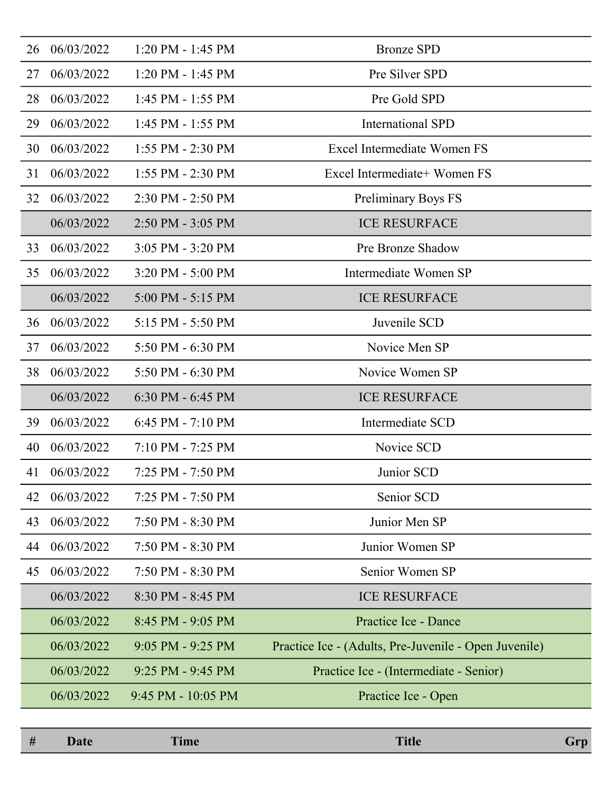| 26 | 06/03/2022 | $1:20$ PM - $1:45$ PM  | <b>Bronze SPD</b>                                     |
|----|------------|------------------------|-------------------------------------------------------|
| 27 | 06/03/2022 | $1:20$ PM - $1:45$ PM  | Pre Silver SPD                                        |
| 28 | 06/03/2022 | $1:45$ PM - $1:55$ PM  | Pre Gold SPD                                          |
| 29 | 06/03/2022 | $1:45$ PM - $1:55$ PM  | <b>International SPD</b>                              |
| 30 | 06/03/2022 | 1:55 PM - 2:30 PM      | Excel Intermediate Women FS                           |
| 31 | 06/03/2022 | 1:55 PM - 2:30 PM      | Excel Intermediate+ Women FS                          |
| 32 | 06/03/2022 | 2:30 PM - 2:50 PM      | <b>Preliminary Boys FS</b>                            |
|    | 06/03/2022 | $2:50$ PM - $3:05$ PM  | <b>ICE RESURFACE</b>                                  |
| 33 | 06/03/2022 | 3:05 PM - 3:20 PM      | Pre Bronze Shadow                                     |
| 35 | 06/03/2022 | 3:20 PM - 5:00 PM      | Intermediate Women SP                                 |
|    | 06/03/2022 | $5:00$ PM - $5:15$ PM  | <b>ICE RESURFACE</b>                                  |
| 36 | 06/03/2022 | 5:15 PM - 5:50 PM      | Juvenile SCD                                          |
| 37 | 06/03/2022 | 5:50 PM - 6:30 PM      | Novice Men SP                                         |
| 38 | 06/03/2022 | 5:50 PM $-6:30$ PM     | Novice Women SP                                       |
|    | 06/03/2022 | $6:30$ PM - $6:45$ PM  | <b>ICE RESURFACE</b>                                  |
| 39 | 06/03/2022 | $6:45$ PM - $7:10$ PM  | Intermediate SCD                                      |
| 40 | 06/03/2022 | $7:10$ PM - $7:25$ PM  | Novice SCD                                            |
| 41 | 06/03/2022 | 7:25 PM - 7:50 PM      | Junior SCD                                            |
| 42 | 06/03/2022 | 7:25 PM - 7:50 PM      | Senior SCD                                            |
| 43 | 06/03/2022 | 7:50 PM - 8:30 PM      | Junior Men SP                                         |
| 44 | 06/03/2022 | 7:50 PM - 8:30 PM      | Junior Women SP                                       |
| 45 | 06/03/2022 | 7:50 PM - 8:30 PM      | Senior Women SP                                       |
|    | 06/03/2022 | 8:30 PM - 8:45 PM      | <b>ICE RESURFACE</b>                                  |
|    | 06/03/2022 | 8:45 PM - 9:05 PM      | Practice Ice - Dance                                  |
|    | 06/03/2022 | $9:05$ PM - $9:25$ PM  | Practice Ice - (Adults, Pre-Juvenile - Open Juvenile) |
|    | 06/03/2022 | $9:25$ PM - $9:45$ PM  | Practice Ice - (Intermediate - Senior)                |
|    | 06/03/2022 | $9:45$ PM - $10:05$ PM | Practice Ice - Open                                   |
|    |            |                        |                                                       |

| # | $-4$ | $\overline{\phantom{a}}$<br><b>Ime</b> | <b>Title</b> | $-$ 14 km $-$ |
|---|------|----------------------------------------|--------------|---------------|
|   |      |                                        |              |               |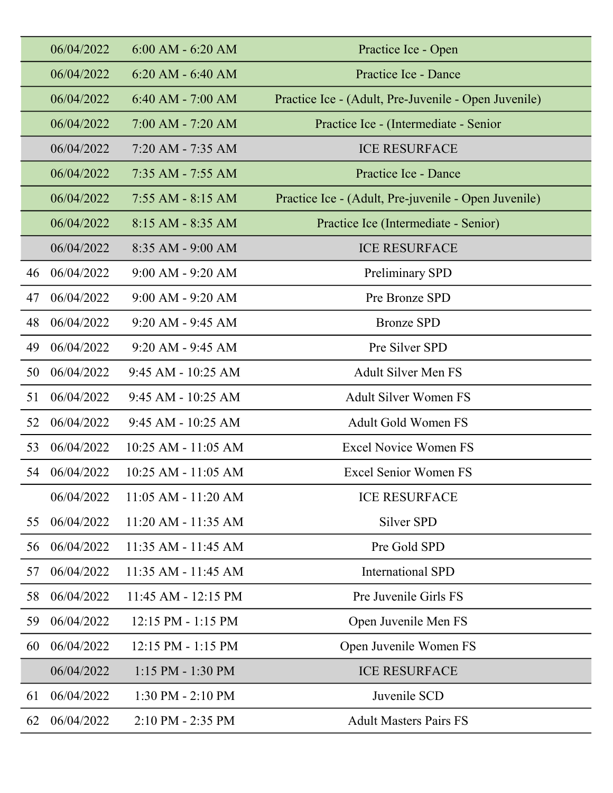|    | 06/04/2022 | $6:00$ AM $-6:20$ AM   | Practice Ice - Open                                  |
|----|------------|------------------------|------------------------------------------------------|
|    | 06/04/2022 | $6:20$ AM - $6:40$ AM  | Practice Ice - Dance                                 |
|    | 06/04/2022 | $6:40$ AM - $7:00$ AM  | Practice Ice - (Adult, Pre-Juvenile - Open Juvenile) |
|    | 06/04/2022 | $7:00 AM - 7:20 AM$    | Practice Ice - (Intermediate - Senior                |
|    | 06/04/2022 | $7:20$ AM - $7:35$ AM  | <b>ICE RESURFACE</b>                                 |
|    | 06/04/2022 | $7:35$ AM - $7:55$ AM  | Practice Ice - Dance                                 |
|    | 06/04/2022 | $7:55$ AM - 8:15 AM    | Practice Ice - (Adult, Pre-juvenile - Open Juvenile) |
|    | 06/04/2022 | $8:15 AM - 8:35 AM$    | Practice Ice (Intermediate - Senior)                 |
|    | 06/04/2022 | $8:35$ AM - $9:00$ AM  | <b>ICE RESURFACE</b>                                 |
| 46 | 06/04/2022 | $9:00$ AM - $9:20$ AM  | Preliminary SPD                                      |
| 47 | 06/04/2022 | $9:00$ AM - $9:20$ AM  | Pre Bronze SPD                                       |
| 48 | 06/04/2022 | $9:20$ AM - $9:45$ AM  | <b>Bronze SPD</b>                                    |
| 49 | 06/04/2022 | $9:20$ AM - $9:45$ AM  | Pre Silver SPD                                       |
| 50 | 06/04/2022 | $9:45$ AM - $10:25$ AM | <b>Adult Silver Men FS</b>                           |
| 51 | 06/04/2022 | $9:45$ AM - $10:25$ AM | <b>Adult Silver Women FS</b>                         |
| 52 | 06/04/2022 | $9:45$ AM - $10:25$ AM | <b>Adult Gold Women FS</b>                           |
| 53 | 06/04/2022 | 10:25 AM - 11:05 AM    | <b>Excel Novice Women FS</b>                         |
| 54 | 06/04/2022 | 10:25 AM - 11:05 AM    | <b>Excel Senior Women FS</b>                         |
|    | 06/04/2022 | 11:05 AM - 11:20 AM    | <b>ICE RESURFACE</b>                                 |
| 55 | 06/04/2022 | 11:20 AM - 11:35 AM    | Silver SPD                                           |
| 56 | 06/04/2022 | 11:35 AM - 11:45 AM    | Pre Gold SPD                                         |
| 57 | 06/04/2022 | 11:35 AM - 11:45 AM    | <b>International SPD</b>                             |
| 58 | 06/04/2022 | 11:45 AM - 12:15 PM    | Pre Juvenile Girls FS                                |
| 59 | 06/04/2022 | 12:15 PM - 1:15 PM     | Open Juvenile Men FS                                 |
| 60 | 06/04/2022 | 12:15 PM - 1:15 PM     | Open Juvenile Women FS                               |
|    | 06/04/2022 | $1:15$ PM - $1:30$ PM  | <b>ICE RESURFACE</b>                                 |
| 61 | 06/04/2022 | 1:30 PM - 2:10 PM      | Juvenile SCD                                         |
| 62 | 06/04/2022 | 2:10 PM - 2:35 PM      | <b>Adult Masters Pairs FS</b>                        |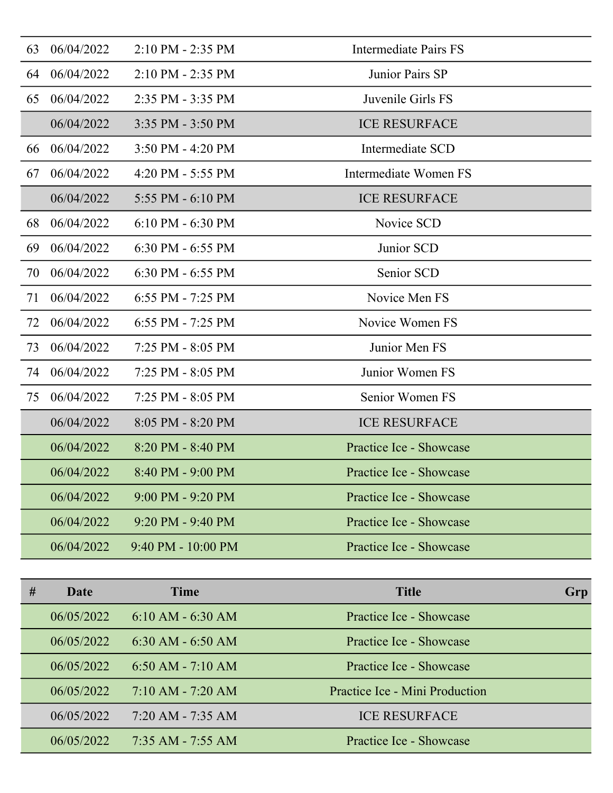| 63 | 06/04/2022 | 2:10 PM - 2:35 PM      | <b>Intermediate Pairs FS</b> |
|----|------------|------------------------|------------------------------|
| 64 | 06/04/2022 | 2:10 PM - 2:35 PM      | Junior Pairs SP              |
| 65 | 06/04/2022 | 2:35 PM - 3:35 PM      | Juvenile Girls FS            |
|    | 06/04/2022 | 3:35 PM - 3:50 PM      | <b>ICE RESURFACE</b>         |
| 66 | 06/04/2022 | 3:50 PM - 4:20 PM      | Intermediate SCD             |
| 67 | 06/04/2022 | 4:20 PM - 5:55 PM      | Intermediate Women FS        |
|    | 06/04/2022 | 5:55 PM - 6:10 PM      | <b>ICE RESURFACE</b>         |
| 68 | 06/04/2022 | $6:10$ PM - $6:30$ PM  | Novice SCD                   |
| 69 | 06/04/2022 | $6:30$ PM - $6:55$ PM  | Junior SCD                   |
| 70 | 06/04/2022 | 6:30 PM - 6:55 PM      | Senior SCD                   |
| 71 | 06/04/2022 | $6:55$ PM - 7:25 PM    | Novice Men FS                |
| 72 | 06/04/2022 | $6:55$ PM - 7:25 PM    | Novice Women FS              |
| 73 | 06/04/2022 | 7:25 PM - 8:05 PM      | Junior Men FS                |
| 74 | 06/04/2022 | 7:25 PM - 8:05 PM      | Junior Women FS              |
| 75 | 06/04/2022 | 7:25 PM - 8:05 PM      | Senior Women FS              |
|    | 06/04/2022 | 8:05 PM - 8:20 PM      | <b>ICE RESURFACE</b>         |
|    | 06/04/2022 | 8:20 PM - 8:40 PM      | Practice Ice - Showcase      |
|    | 06/04/2022 | 8:40 PM - 9:00 PM      | Practice Ice - Showcase      |
|    | 06/04/2022 | 9:00 PM - 9:20 PM      | Practice Ice - Showcase      |
|    | 06/04/2022 | $9:20$ PM - $9:40$ PM  | Practice Ice - Showcase      |
|    | 06/04/2022 | $9:40$ PM - $10:00$ PM | Practice Ice - Showcase      |

| # | Date       | <b>Time</b>           | <b>Title</b>                   | Grp |
|---|------------|-----------------------|--------------------------------|-----|
|   | 06/05/2022 | $6:10 AM - 6:30 AM$   | Practice Ice - Showcase        |     |
|   | 06/05/2022 | $6:30$ AM $-6:50$ AM  | Practice Ice - Showcase        |     |
|   | 06/05/2022 | $6:50$ AM - 7:10 AM   | Practice Ice - Showcase        |     |
|   | 06/05/2022 | $7:10 AM - 7:20 AM$   | Practice Ice - Mini Production |     |
|   | 06/05/2022 | $7:20$ AM - $7:35$ AM | <b>ICE RESURFACE</b>           |     |
|   | 06/05/2022 | $7:35$ AM - $7:55$ AM | Practice Ice - Showcase        |     |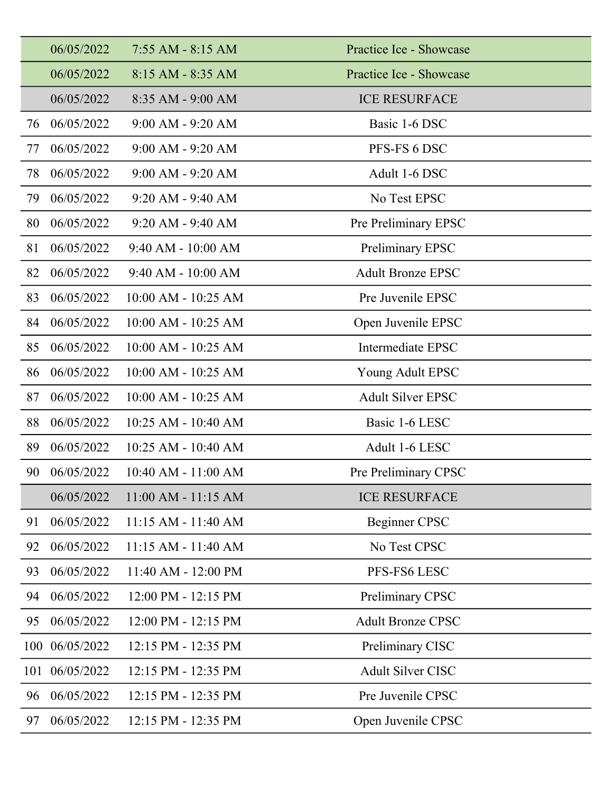|     | 06/05/2022     | $7:55$ AM - $8:15$ AM   | Practice Ice - Showcase  |
|-----|----------------|-------------------------|--------------------------|
|     | 06/05/2022     | $8:15 AM - 8:35 AM$     | Practice Ice - Showcase  |
|     | 06/05/2022     | $8:35$ AM - 9:00 AM     | <b>ICE RESURFACE</b>     |
| 76  | 06/05/2022     | $9:00$ AM - $9:20$ AM   | Basic 1-6 DSC            |
| 77  | 06/05/2022     | $9:00$ AM - $9:20$ AM   | PFS-FS 6 DSC             |
| 78  | 06/05/2022     | $9:00$ AM - $9:20$ AM   | Adult 1-6 DSC            |
| 79  | 06/05/2022     | $9:20$ AM - $9:40$ AM   | No Test EPSC             |
| 80  | 06/05/2022     | 9:20 AM - 9:40 AM       | Pre Preliminary EPSC     |
| 81  | 06/05/2022     | $9:40$ AM - $10:00$ AM  | Preliminary EPSC         |
| 82  | 06/05/2022     | $9:40$ AM - $10:00$ AM  | <b>Adult Bronze EPSC</b> |
| 83  | 06/05/2022     | 10:00 AM - 10:25 AM     | Pre Juvenile EPSC        |
| 84  | 06/05/2022     | $10:00$ AM - $10:25$ AM | Open Juvenile EPSC       |
| 85  | 06/05/2022     | 10:00 AM - 10:25 AM     | Intermediate EPSC        |
| 86  | 06/05/2022     | $10:00$ AM - $10:25$ AM | Young Adult EPSC         |
| 87  | 06/05/2022     | $10:00$ AM - $10:25$ AM | <b>Adult Silver EPSC</b> |
| 88  | 06/05/2022     | 10:25 AM - 10:40 AM     | Basic 1-6 LESC           |
| 89  | 06/05/2022     | 10:25 AM - 10:40 AM     | Adult 1-6 LESC           |
| 90  | 06/05/2022     | 10:40 AM - 11:00 AM     | Pre Preliminary CPSC     |
|     | 06/05/2022     | 11:00 AM - 11:15 AM     | <b>ICE RESURFACE</b>     |
| 91  | 06/05/2022     | 11:15 AM - 11:40 AM     | <b>Beginner CPSC</b>     |
| 92  | 06/05/2022     | $11:15$ AM - $11:40$ AM | No Test CPSC             |
| 93  | 06/05/2022     | 11:40 AM - 12:00 PM     | PFS-FS6 LESC             |
| 94  | 06/05/2022     | 12:00 PM - 12:15 PM     | Preliminary CPSC         |
| 95  | 06/05/2022     | 12:00 PM - 12:15 PM     | <b>Adult Bronze CPSC</b> |
|     | 100 06/05/2022 | 12:15 PM - 12:35 PM     | Preliminary CISC         |
| 101 | 06/05/2022     | 12:15 PM - 12:35 PM     | Adult Silver CISC        |
| 96  | 06/05/2022     | 12:15 PM - 12:35 PM     | Pre Juvenile CPSC        |
| 97  | 06/05/2022     | 12:15 PM - 12:35 PM     | Open Juvenile CPSC       |